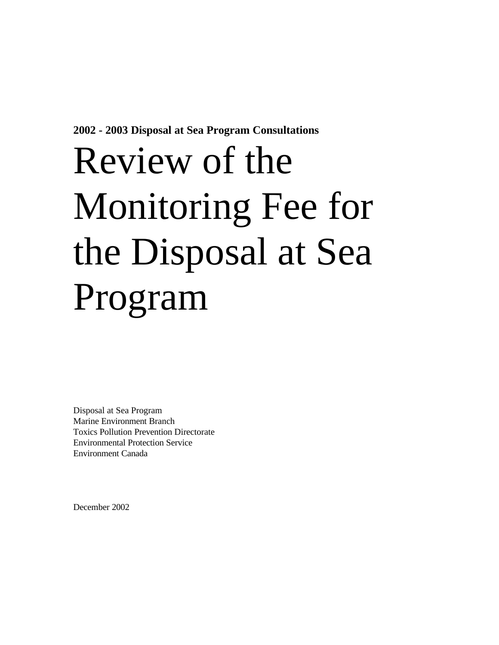**2002 - 2003 Disposal at Sea Program Consultations**

# Review of the Monitoring Fee for the Disposal at Sea Program

Disposal at Sea Program Marine Environment Branch Toxics Pollution Prevention Directorate Environmental Protection Service Environment Canada

December 2002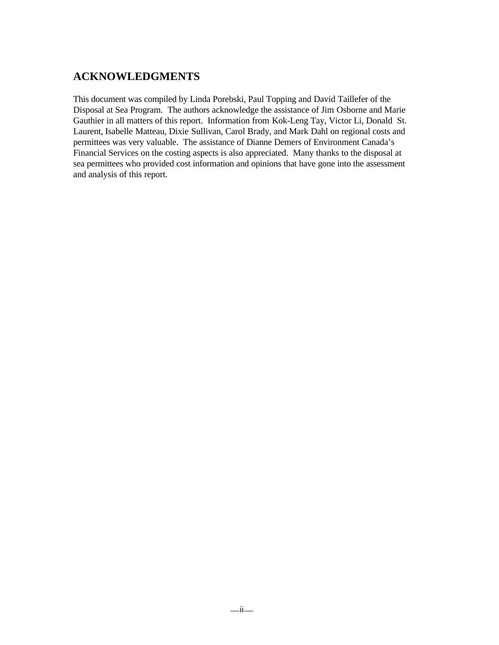# **ACKNOWLEDGMENTS**

This document was compiled by Linda Porebski, Paul Topping and David Taillefer of the Disposal at Sea Program. The authors acknowledge the assistance of Jim Osborne and Marie Gauthier in all matters of this report. Information from Kok-Leng Tay, Victor Li, Donald St. Laurent, Isabelle Matteau, Dixie Sullivan, Carol Brady, and Mark Dahl on regional costs and permittees was very valuable. The assistance of Dianne Demers of Environment Canada's Financial Services on the costing aspects is also appreciated. Many thanks to the disposal at sea permittees who provided cost information and opinions that have gone into the assessment and analysis of this report.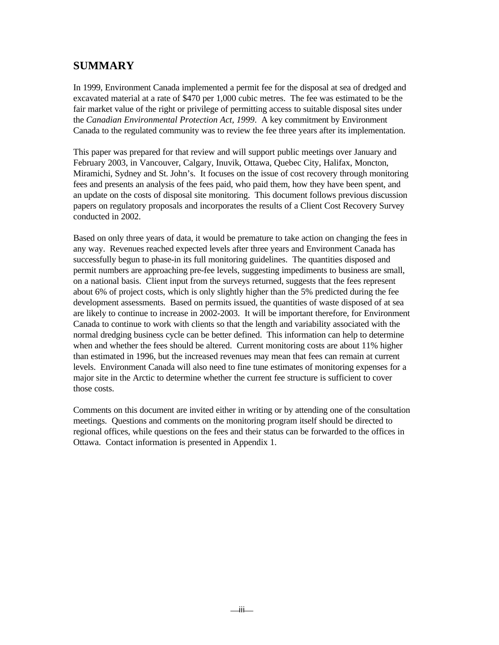# **SUMMARY**

In 1999, Environment Canada implemented a permit fee for the disposal at sea of dredged and excavated material at a rate of \$470 per 1,000 cubic metres. The fee was estimated to be the fair market value of the right or privilege of permitting access to suitable disposal sites under the *Canadian Environmental Protection Act, 1999*. A key commitment by Environment Canada to the regulated community was to review the fee three years after its implementation.

This paper was prepared for that review and will support public meetings over January and February 2003, in Vancouver, Calgary, Inuvik, Ottawa, Quebec City, Halifax, Moncton, Miramichi, Sydney and St. John's. It focuses on the issue of cost recovery through monitoring fees and presents an analysis of the fees paid, who paid them, how they have been spent, and an update on the costs of disposal site monitoring. This document follows previous discussion papers on regulatory proposals and incorporates the results of a Client Cost Recovery Survey conducted in 2002.

Based on only three years of data, it would be premature to take action on changing the fees in any way. Revenues reached expected levels after three years and Environment Canada has successfully begun to phase-in its full monitoring guidelines. The quantities disposed and permit numbers are approaching pre-fee levels, suggesting impediments to business are small, on a national basis. Client input from the surveys returned, suggests that the fees represent about 6% of project costs, which is only slightly higher than the 5% predicted during the fee development assessments. Based on permits issued, the quantities of waste disposed of at sea are likely to continue to increase in 2002-2003. It will be important therefore, for Environment Canada to continue to work with clients so that the length and variability associated with the normal dredging business cycle can be better defined. This information can help to determine when and whether the fees should be altered. Current monitoring costs are about 11% higher than estimated in 1996, but the increased revenues may mean that fees can remain at current levels. Environment Canada will also need to fine tune estimates of monitoring expenses for a major site in the Arctic to determine whether the current fee structure is sufficient to cover those costs.

Comments on this document are invited either in writing or by attending one of the consultation meetings. Questions and comments on the monitoring program itself should be directed to regional offices, while questions on the fees and their status can be forwarded to the offices in Ottawa. Contact information is presented in Appendix 1.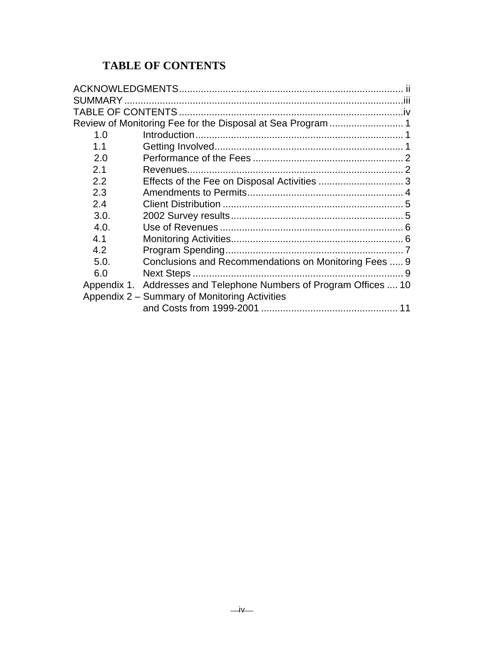# **TABLE OF CONTENTS**

| 1.0  |                                                                    |  |
|------|--------------------------------------------------------------------|--|
| 1.1  |                                                                    |  |
| 2.0  |                                                                    |  |
| 2.1  |                                                                    |  |
| 2.2  |                                                                    |  |
| 2.3  |                                                                    |  |
| 2.4  |                                                                    |  |
| 3.0. |                                                                    |  |
| 4.0. |                                                                    |  |
| 4.1  |                                                                    |  |
| 4.2  |                                                                    |  |
| 5.0. | Conclusions and Recommendations on Monitoring Fees  9              |  |
| 6.0  |                                                                    |  |
|      | Appendix 1. Addresses and Telephone Numbers of Program Offices  10 |  |
|      | Appendix 2 – Summary of Monitoring Activities                      |  |
|      |                                                                    |  |
|      |                                                                    |  |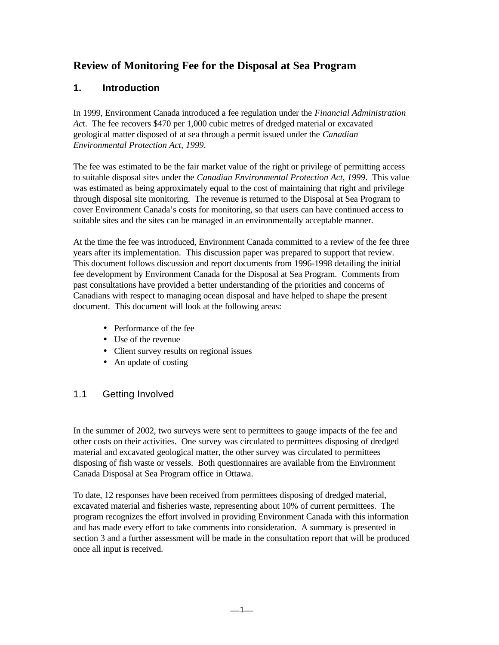# **Review of Monitoring Fee for the Disposal at Sea Program**

# **1. Introduction**

In 1999, Environment Canada introduced a fee regulation under the *Financial Administration Ac*t. The fee recovers \$470 per 1,000 cubic metres of dredged material or excavated geological matter disposed of at sea through a permit issued under the *Canadian Environmental Protection Act, 1999*.

The fee was estimated to be the fair market value of the right or privilege of permitting access to suitable disposal sites under the *Canadian Environmental Protection Act, 1999*. This value was estimated as being approximately equal to the cost of maintaining that right and privilege through disposal site monitoring. The revenue is returned to the Disposal at Sea Program to cover Environment Canada's costs for monitoring, so that users can have continued access to suitable sites and the sites can be managed in an environmentally acceptable manner.

At the time the fee was introduced, Environment Canada committed to a review of the fee three years after its implementation. This discussion paper was prepared to support that review. This document follows discussion and report documents from 1996-1998 detailing the initial fee development by Environment Canada for the Disposal at Sea Program. Comments from past consultations have provided a better understanding of the priorities and concerns of Canadians with respect to managing ocean disposal and have helped to shape the present document. This document will look at the following areas:

- Performance of the fee
- Use of the revenue
- Client survey results on regional issues
- An update of costing

# 1.1 Getting Involved

In the summer of 2002, two surveys were sent to permittees to gauge impacts of the fee and other costs on their activities. One survey was circulated to permittees disposing of dredged material and excavated geological matter, the other survey was circulated to permittees disposing of fish waste or vessels. Both questionnaires are available from the Environment Canada Disposal at Sea Program office in Ottawa.

To date, 12 responses have been received from permittees disposing of dredged material, excavated material and fisheries waste, representing about 10% of current permittees. The program recognizes the effort involved in providing Environment Canada with this information and has made every effort to take comments into consideration. A summary is presented in section 3 and a further assessment will be made in the consultation report that will be produced once all input is received.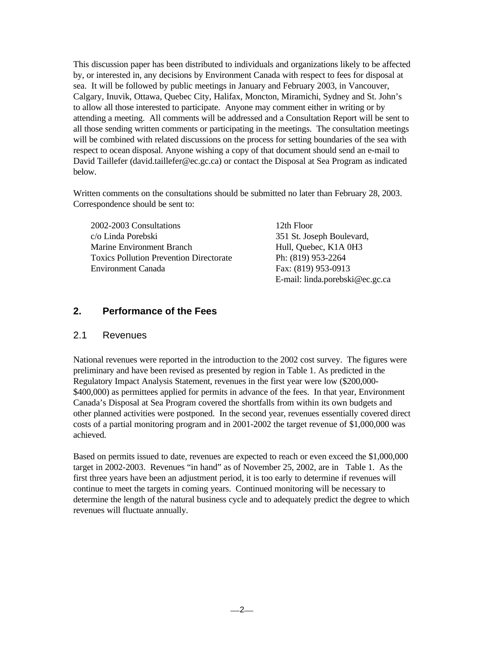This discussion paper has been distributed to individuals and organizations likely to be affected by, or interested in, any decisions by Environment Canada with respect to fees for disposal at sea. It will be followed by public meetings in January and February 2003, in Vancouver, Calgary, Inuvik, Ottawa, Quebec City, Halifax, Moncton, Miramichi, Sydney and St. John's to allow all those interested to participate. Anyone may comment either in writing or by attending a meeting. All comments will be addressed and a Consultation Report will be sent to all those sending written comments or participating in the meetings. The consultation meetings will be combined with related discussions on the process for setting boundaries of the sea with respect to ocean disposal. Anyone wishing a copy of that document should send an e-mail to David Taillefer (david.taillefer@ec.gc.ca) or contact the Disposal at Sea Program as indicated below.

Written comments on the consultations should be submitted no later than February 28, 2003. Correspondence should be sent to:

| 2002-2003 Consultations                        | 12th Floor                      |
|------------------------------------------------|---------------------------------|
| c/o Linda Porebski                             | 351 St. Joseph Boulevard,       |
| Marine Environment Branch                      | Hull, Quebec, K1A 0H3           |
| <b>Toxics Pollution Prevention Directorate</b> | Ph: (819) 953-2264              |
| Environment Canada                             | Fax: (819) 953-0913             |
|                                                | E-mail: linda.porebski@ec.gc.ca |

## **2. Performance of the Fees**

#### 2.1 Revenues

National revenues were reported in the introduction to the 2002 cost survey. The figures were preliminary and have been revised as presented by region in Table 1. As predicted in the Regulatory Impact Analysis Statement, revenues in the first year were low (\$200,000- \$400,000) as permittees applied for permits in advance of the fees. In that year, Environment Canada's Disposal at Sea Program covered the shortfalls from within its own budgets and other planned activities were postponed. In the second year, revenues essentially covered direct costs of a partial monitoring program and in 2001-2002 the target revenue of \$1,000,000 was achieved.

Based on permits issued to date, revenues are expected to reach or even exceed the \$1,000,000 target in 2002-2003. Revenues "in hand" as of November 25, 2002, are in Table 1. As the first three years have been an adjustment period, it is too early to determine if revenues will continue to meet the targets in coming years. Continued monitoring will be necessary to determine the length of the natural business cycle and to adequately predict the degree to which revenues will fluctuate annually.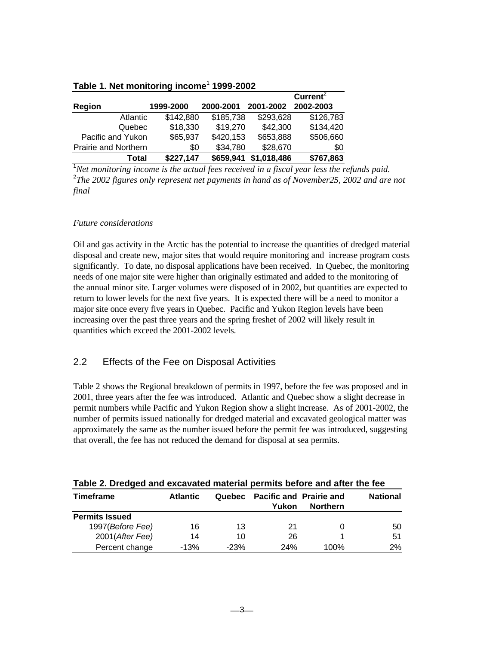|                      |           |           |             | Current <sup>2</sup> |
|----------------------|-----------|-----------|-------------|----------------------|
| Region               | 1999-2000 | 2000-2001 | 2001-2002   | 2002-2003            |
| <b>Atlantic</b>      | \$142,880 | \$185,738 | \$293,628   | \$126,783            |
| Quebec               | \$18,330  | \$19,270  | \$42,300    | \$134,420            |
| Pacific and Yukon    | \$65,937  | \$420,153 | \$653,888   | \$506,660            |
| Prairie and Northern | \$0       | \$34,780  | \$28,670    | \$0                  |
| Total                | \$227,147 | \$659,941 | \$1,018,486 | \$767,863            |

#### **Table 1. Net monitoring income**<sup>1</sup>  **1999-2002**

<sup>1</sup>*Net monitoring income is the actual fees received in a fiscal year less the refunds paid.* 2 *The 2002 figures only represent net payments in hand as of November25, 2002 and are not final*

#### *Future considerations*

Oil and gas activity in the Arctic has the potential to increase the quantities of dredged material disposal and create new, major sites that would require monitoring and increase program costs significantly. To date, no disposal applications have been received. In Quebec, the monitoring needs of one major site were higher than originally estimated and added to the monitoring of the annual minor site. Larger volumes were disposed of in 2002, but quantities are expected to return to lower levels for the next five years. It is expected there will be a need to monitor a major site once every five years in Quebec. Pacific and Yukon Region levels have been increasing over the past three years and the spring freshet of 2002 will likely result in quantities which exceed the 2001-2002 levels.

# 2.2 Effects of the Fee on Disposal Activities

Table 2 shows the Regional breakdown of permits in 1997, before the fee was proposed and in 2001, three years after the fee was introduced. Atlantic and Quebec show a slight decrease in permit numbers while Pacific and Yukon Region show a slight increase. As of 2001-2002, the number of permits issued nationally for dredged material and excavated geological matter was approximately the same as the number issued before the permit fee was introduced, suggesting that overall, the fee has not reduced the demand for disposal at sea permits.

| <b>Timeframe</b>      | <b>Atlantic</b> | Quebec | <b>Pacific and Prairie and</b><br>Yukon | <b>Northern</b> | <b>National</b> |
|-----------------------|-----------------|--------|-----------------------------------------|-----------------|-----------------|
| <b>Permits Issued</b> |                 |        |                                         |                 |                 |
| 1997(Before Fee)      | 16              | 13     | 21                                      |                 | 50              |
| 2001(After Fee)       | 14              | 10     | 26                                      |                 | 51              |
| Percent change        | $-13%$          | $-23%$ | 24%                                     | 100%            | 2%              |

#### **Table 2. Dredged and excavated material permits before and after the fee**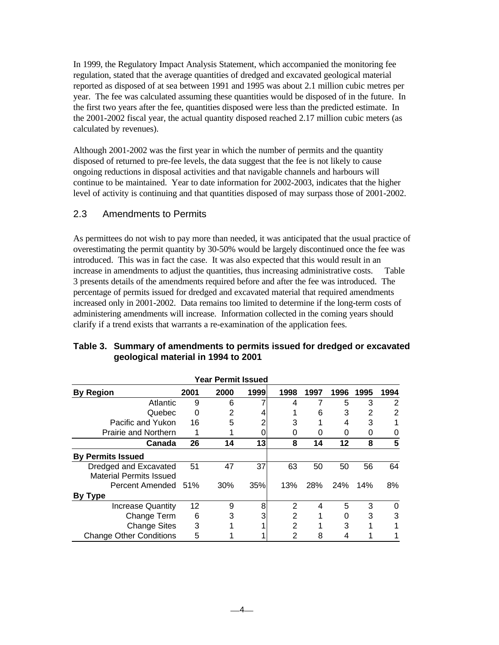In 1999, the Regulatory Impact Analysis Statement, which accompanied the monitoring fee regulation, stated that the average quantities of dredged and excavated geological material reported as disposed of at sea between 1991 and 1995 was about 2.1 million cubic metres per year. The fee was calculated assuming these quantities would be disposed of in the future. In the first two years after the fee, quantities disposed were less than the predicted estimate. In the 2001-2002 fiscal year, the actual quantity disposed reached 2.17 million cubic meters (as calculated by revenues).

Although 2001-2002 was the first year in which the number of permits and the quantity disposed of returned to pre-fee levels, the data suggest that the fee is not likely to cause ongoing reductions in disposal activities and that navigable channels and harbours will continue to be maintained. Year to date information for 2002-2003, indicates that the higher level of activity is continuing and that quantities disposed of may surpass those of 2001-2002.

#### 2.3 Amendments to Permits

As permittees do not wish to pay more than needed, it was anticipated that the usual practice of overestimating the permit quantity by 30-50% would be largely discontinued once the fee was introduced. This was in fact the case. It was also expected that this would result in an increase in amendments to adjust the quantities, thus increasing administrative costs. Table 3 presents details of the amendments required before and after the fee was introduced. The percentage of permits issued for dredged and excavated material that required amendments increased only in 2001-2002. Data remains too limited to determine if the long-term costs of administering amendments will increase. Information collected in the coming years should clarify if a trend exists that warrants a re-examination of the application fees.

| <b>Year Permit Issued</b>                               |      |      |      |      |      |            |      |      |
|---------------------------------------------------------|------|------|------|------|------|------------|------|------|
| <b>By Region</b>                                        | 2001 | 2000 | 1999 | 1998 | 1997 | 1996       | 1995 | 1994 |
| Atlantic                                                | 9    | 6    |      | 4    | 7    | 5          | 3    | 2    |
| Quebec                                                  | 0    | 2    |      |      | 6    | 3          | 2    | 2    |
| Pacific and Yukon                                       | 16   | 5    |      | 3    |      | 4          | 3    |      |
| <b>Prairie and Northern</b>                             | 1    |      |      | 0    | O    | O          | 0    | O    |
| Canada                                                  | 26   | 14   | 13   | 8    | 14   | 12         | 8    | 5    |
| <b>By Permits Issued</b>                                |      |      |      |      |      |            |      |      |
| Dredged and Excavated<br><b>Material Permits Issued</b> | 51   | 47   | 37   | 63   | 50   | 50         | 56   | 64   |
| Percent Amended 51%                                     |      | 30%  | 35%  | 13%  | 28%  | <b>24%</b> | 14%  | 8%   |
| <b>By Type</b>                                          |      |      |      |      |      |            |      |      |
| <b>Increase Quantity</b>                                | 12   | 9    | 8    | 2    | 4    | 5          | 3    | 0    |
| Change Term                                             | 6    | 3    |      | 2    |      | 0          | 3    | 3    |
| <b>Change Sites</b>                                     | 3    |      |      | 2    |      | 3          |      |      |
| <b>Change Other Conditions</b>                          | 5    |      |      | 2    | 8    |            |      |      |

#### **Table 3. Summary of amendments to permits issued for dredged or excavated geological material in 1994 to 2001**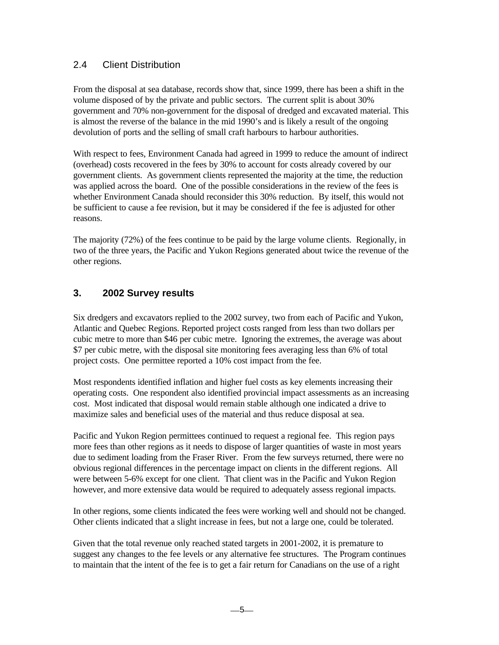## 2.4 Client Distribution

From the disposal at sea database, records show that, since 1999, there has been a shift in the volume disposed of by the private and public sectors. The current split is about 30% government and 70% non-government for the disposal of dredged and excavated material. This is almost the reverse of the balance in the mid 1990's and is likely a result of the ongoing devolution of ports and the selling of small craft harbours to harbour authorities.

With respect to fees, Environment Canada had agreed in 1999 to reduce the amount of indirect (overhead) costs recovered in the fees by 30% to account for costs already covered by our government clients. As government clients represented the majority at the time, the reduction was applied across the board. One of the possible considerations in the review of the fees is whether Environment Canada should reconsider this 30% reduction. By itself, this would not be sufficient to cause a fee revision, but it may be considered if the fee is adjusted for other reasons.

The majority (72%) of the fees continue to be paid by the large volume clients. Regionally, in two of the three years, the Pacific and Yukon Regions generated about twice the revenue of the other regions.

# **3. 2002 Survey results**

Six dredgers and excavators replied to the 2002 survey, two from each of Pacific and Yukon, Atlantic and Quebec Regions. Reported project costs ranged from less than two dollars per cubic metre to more than \$46 per cubic metre. Ignoring the extremes, the average was about \$7 per cubic metre, with the disposal site monitoring fees averaging less than 6% of total project costs. One permittee reported a 10% cost impact from the fee.

Most respondents identified inflation and higher fuel costs as key elements increasing their operating costs. One respondent also identified provincial impact assessments as an increasing cost. Most indicated that disposal would remain stable although one indicated a drive to maximize sales and beneficial uses of the material and thus reduce disposal at sea.

Pacific and Yukon Region permittees continued to request a regional fee. This region pays more fees than other regions as it needs to dispose of larger quantities of waste in most years due to sediment loading from the Fraser River. From the few surveys returned, there were no obvious regional differences in the percentage impact on clients in the different regions. All were between 5-6% except for one client. That client was in the Pacific and Yukon Region however, and more extensive data would be required to adequately assess regional impacts.

In other regions, some clients indicated the fees were working well and should not be changed. Other clients indicated that a slight increase in fees, but not a large one, could be tolerated.

Given that the total revenue only reached stated targets in 2001-2002, it is premature to suggest any changes to the fee levels or any alternative fee structures. The Program continues to maintain that the intent of the fee is to get a fair return for Canadians on the use of a right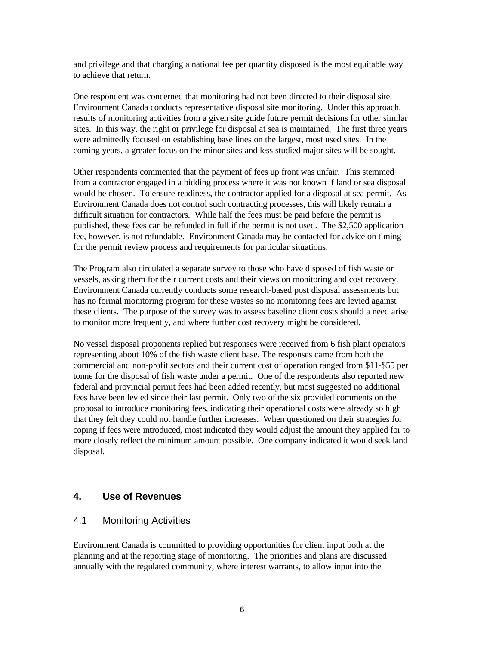and privilege and that charging a national fee per quantity disposed is the most equitable way to achieve that return.

One respondent was concerned that monitoring had not been directed to their disposal site. Environment Canada conducts representative disposal site monitoring. Under this approach, results of monitoring activities from a given site guide future permit decisions for other similar sites. In this way, the right or privilege for disposal at sea is maintained. The first three years were admittedly focused on establishing base lines on the largest, most used sites. In the coming years, a greater focus on the minor sites and less studied major sites will be sought.

Other respondents commented that the payment of fees up front was unfair. This stemmed from a contractor engaged in a bidding process where it was not known if land or sea disposal would be chosen. To ensure readiness, the contractor applied for a disposal at sea permit. As Environment Canada does not control such contracting processes, this will likely remain a difficult situation for contractors. While half the fees must be paid before the permit is published, these fees can be refunded in full if the permit is not used. The \$2,500 application fee, however, is not refundable. Environment Canada may be contacted for advice on timing for the permit review process and requirements for particular situations.

The Program also circulated a separate survey to those who have disposed of fish waste or vessels, asking them for their current costs and their views on monitoring and cost recovery. Environment Canada currently conducts some research-based post disposal assessments but has no formal monitoring program for these wastes so no monitoring fees are levied against these clients. The purpose of the survey was to assess baseline client costs should a need arise to monitor more frequently, and where further cost recovery might be considered.

No vessel disposal proponents replied but responses were received from 6 fish plant operators representing about 10% of the fish waste client base. The responses came from both the commercial and non-profit sectors and their current cost of operation ranged from \$11-\$55 per tonne for the disposal of fish waste under a permit. One of the respondents also reported new federal and provincial permit fees had been added recently, but most suggested no additional fees have been levied since their last permit. Only two of the six provided comments on the proposal to introduce monitoring fees, indicating their operational costs were already so high that they felt they could not handle further increases. When questioned on their strategies for coping if fees were introduced, most indicated they would adjust the amount they applied for to more closely reflect the minimum amount possible. One company indicated it would seek land disposal.

### **4. Use of Revenues**

#### 4.1 Monitoring Activities

Environment Canada is committed to providing opportunities for client input both at the planning and at the reporting stage of monitoring. The priorities and plans are discussed annually with the regulated community, where interest warrants, to allow input into the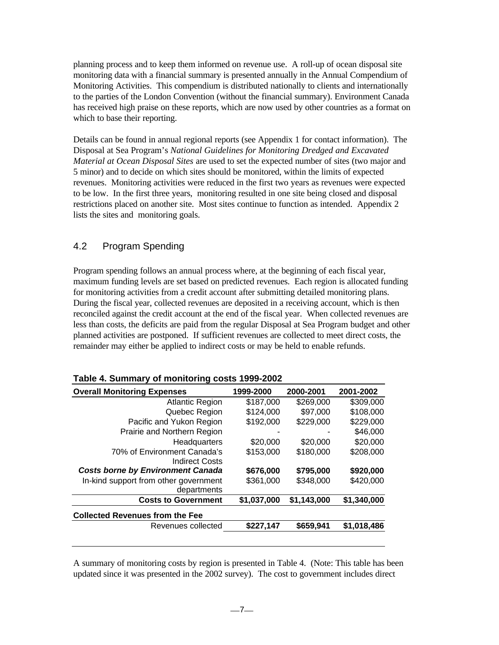planning process and to keep them informed on revenue use. A roll-up of ocean disposal site monitoring data with a financial summary is presented annually in the Annual Compendium of Monitoring Activities. This compendium is distributed nationally to clients and internationally to the parties of the London Convention (without the financial summary). Environment Canada has received high praise on these reports, which are now used by other countries as a format on which to base their reporting.

Details can be found in annual regional reports (see Appendix 1 for contact information). The Disposal at Sea Program's *National Guidelines for Monitoring Dredged and Excavated Material at Ocean Disposal Sites* are used to set the expected number of sites (two major and 5 minor) and to decide on which sites should be monitored, within the limits of expected revenues. Monitoring activities were reduced in the first two years as revenues were expected to be low. In the first three years, monitoring resulted in one site being closed and disposal restrictions placed on another site. Most sites continue to function as intended. Appendix 2 lists the sites and monitoring goals.

## 4.2 Program Spending

Program spending follows an annual process where, at the beginning of each fiscal year, maximum funding levels are set based on predicted revenues. Each region is allocated funding for monitoring activities from a credit account after submitting detailed monitoring plans. During the fiscal year, collected revenues are deposited in a receiving account, which is then reconciled against the credit account at the end of the fiscal year. When collected revenues are less than costs, the deficits are paid from the regular Disposal at Sea Program budget and other planned activities are postponed. If sufficient revenues are collected to meet direct costs, the remainder may either be applied to indirect costs or may be held to enable refunds.

| <b>Overall Monitoring Expenses</b>       | 1999-2000   | 2000-2001   | 2001-2002   |
|------------------------------------------|-------------|-------------|-------------|
| <b>Atlantic Region</b>                   | \$187,000   | \$269,000   | \$309,000   |
| Quebec Region                            | \$124,000   | \$97,000    | \$108,000   |
| Pacific and Yukon Region                 | \$192,000   | \$229,000   | \$229,000   |
| Prairie and Northern Region              |             |             | \$46,000    |
| Headquarters                             | \$20,000    | \$20,000    | \$20,000    |
| 70% of Environment Canada's              | \$153,000   | \$180,000   | \$208,000   |
| <b>Indirect Costs</b>                    |             |             |             |
| <b>Costs borne by Environment Canada</b> | \$676,000   | \$795,000   | \$920,000   |
| In-kind support from other government    | \$361,000   | \$348,000   | \$420,000   |
| departments                              |             |             |             |
| <b>Costs to Government</b>               | \$1,037,000 | \$1,143,000 | \$1,340,000 |
| <b>Collected Revenues from the Fee</b>   |             |             |             |
| Revenues collected                       | \$227,147   | \$659,941   | \$1,018,486 |
|                                          |             |             |             |

|  | Table 4. Summary of monitoring costs 1999-2002 |
|--|------------------------------------------------|
|  |                                                |

A summary of monitoring costs by region is presented in Table 4. (Note: This table has been updated since it was presented in the 2002 survey). The cost to government includes direct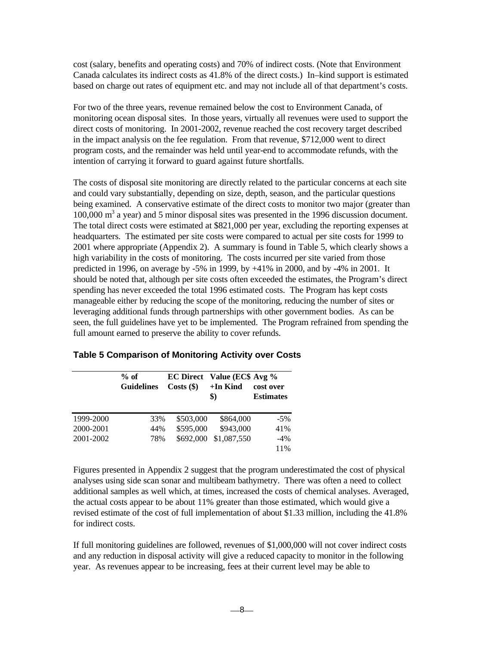cost (salary, benefits and operating costs) and 70% of indirect costs. (Note that Environment Canada calculates its indirect costs as 41.8% of the direct costs.) In–kind support is estimated based on charge out rates of equipment etc. and may not include all of that department's costs.

For two of the three years, revenue remained below the cost to Environment Canada, of monitoring ocean disposal sites. In those years, virtually all revenues were used to support the direct costs of monitoring. In 2001-2002, revenue reached the cost recovery target described in the impact analysis on the fee regulation. From that revenue, \$712,000 went to direct program costs, and the remainder was held until year-end to accommodate refunds, with the intention of carrying it forward to guard against future shortfalls.

The costs of disposal site monitoring are directly related to the particular concerns at each site and could vary substantially, depending on size, depth, season, and the particular questions being examined. A conservative estimate of the direct costs to monitor two major (greater than  $100,000 \text{ m}^3$  a year) and 5 minor disposal sites was presented in the 1996 discussion document. The total direct costs were estimated at \$821,000 per year, excluding the reporting expenses at headquarters. The estimated per site costs were compared to actual per site costs for 1999 to 2001 where appropriate (Appendix 2). A summary is found in Table 5, which clearly shows a high variability in the costs of monitoring. The costs incurred per site varied from those predicted in 1996, on average by -5% in 1999, by +41% in 2000, and by -4% in 2001. It should be noted that, although per site costs often exceeded the estimates, the Program's direct spending has never exceeded the total 1996 estimated costs. The Program has kept costs manageable either by reducing the scope of the monitoring, reducing the number of sites or leveraging additional funds through partnerships with other government bodies. As can be seen, the full guidelines have yet to be implemented. The Program refrained from spending the full amount earned to preserve the ability to cover refunds.

|           | $%$ of<br><b>Guidelines</b> | Costs(\$) | <b>EC Direct</b> Value (EC\$ Avg %<br>$+In$ Kind<br>\$) | cost over<br><b>Estimates</b> |
|-----------|-----------------------------|-----------|---------------------------------------------------------|-------------------------------|
| 1999-2000 | 33%                         | \$503,000 | \$864,000                                               | $-5%$                         |
| 2000-2001 | 44%                         | \$595,000 | \$943,000                                               | 41%                           |
| 2001-2002 | 78%                         | \$692,000 | \$1,087,550                                             | $-4%$                         |
|           |                             |           |                                                         | 11%                           |

**Table 5 Comparison of Monitoring Activity over Costs**

Figures presented in Appendix 2 suggest that the program underestimated the cost of physical analyses using side scan sonar and multibeam bathymetry. There was often a need to collect additional samples as well which, at times, increased the costs of chemical analyses. Averaged, the actual costs appear to be about 11% greater than those estimated, which would give a revised estimate of the cost of full implementation of about \$1.33 million, including the 41.8% for indirect costs.

If full monitoring guidelines are followed, revenues of \$1,000,000 will not cover indirect costs and any reduction in disposal activity will give a reduced capacity to monitor in the following year. As revenues appear to be increasing, fees at their current level may be able to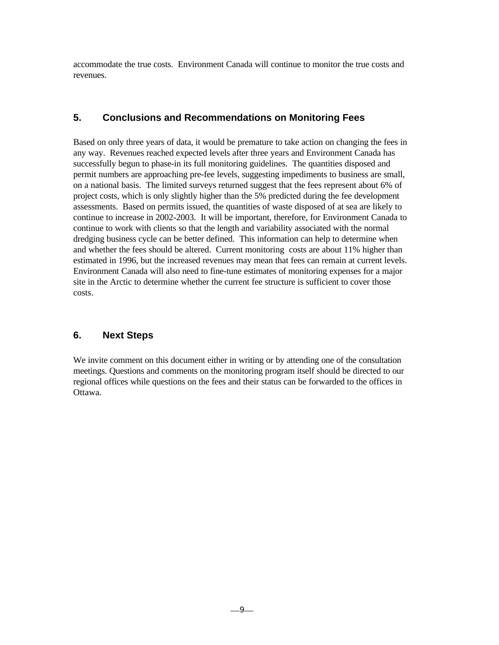accommodate the true costs. Environment Canada will continue to monitor the true costs and revenues.

## **5. Conclusions and Recommendations on Monitoring Fees**

Based on only three years of data, it would be premature to take action on changing the fees in any way. Revenues reached expected levels after three years and Environment Canada has successfully begun to phase-in its full monitoring guidelines. The quantities disposed and permit numbers are approaching pre-fee levels, suggesting impediments to business are small, on a national basis. The limited surveys returned suggest that the fees represent about 6% of project costs, which is only slightly higher than the 5% predicted during the fee development assessments. Based on permits issued, the quantities of waste disposed of at sea are likely to continue to increase in 2002-2003. It will be important, therefore, for Environment Canada to continue to work with clients so that the length and variability associated with the normal dredging business cycle can be better defined. This information can help to determine when and whether the fees should be altered. Current monitoring costs are about 11% higher than estimated in 1996, but the increased revenues may mean that fees can remain at current levels. Environment Canada will also need to fine-tune estimates of monitoring expenses for a major site in the Arctic to determine whether the current fee structure is sufficient to cover those costs.

# **6. Next Steps**

We invite comment on this document either in writing or by attending one of the consultation meetings. Questions and comments on the monitoring program itself should be directed to our regional offices while questions on the fees and their status can be forwarded to the offices in Ottawa.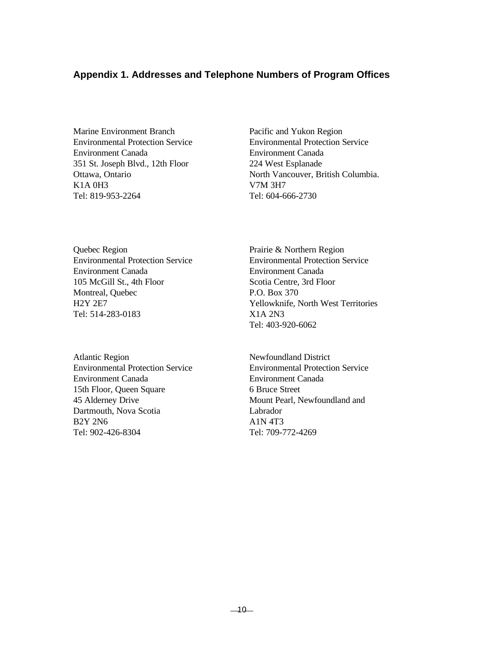#### **Appendix 1. Addresses and Telephone Numbers of Program Offices**

Marine Environment Branch Pacific and Yukon Region Environment Canada Environment Canada 351 St. Joseph Blvd., 12th Floor 224 West Esplanade K1A 0H3 V7M 3H7 Tel: 819-953-2264 Tel: 604-666-2730

Quebec Region Prairie & Northern Region Environmental Protection Service Environmental Protection Service Environment Canada Environment Canada 105 McGill St., 4th Floor Scotia Centre, 3rd Floor Montreal, Quebec P.O. Box 370 Tel: 514-283-0183 X1A 2N3

Atlantic Region Newfoundland District Environmental Protection Service Environmental Protection Service Environment Canada Environment Canada 15th Floor, Queen Square 6 Bruce Street 45 Alderney Drive Mount Pearl, Newfoundland and Dartmouth, Nova Scotia Labrador  $B2Y 2N6$   $A1N 4T3$ Tel: 902-426-8304 Tel: 709-772-4269

Environmental Protection Service Environmental Protection Service Ottawa, Ontario North Vancouver, British Columbia.

H2Y 2E7 Yellowknife, North West Territories Tel: 403-920-6062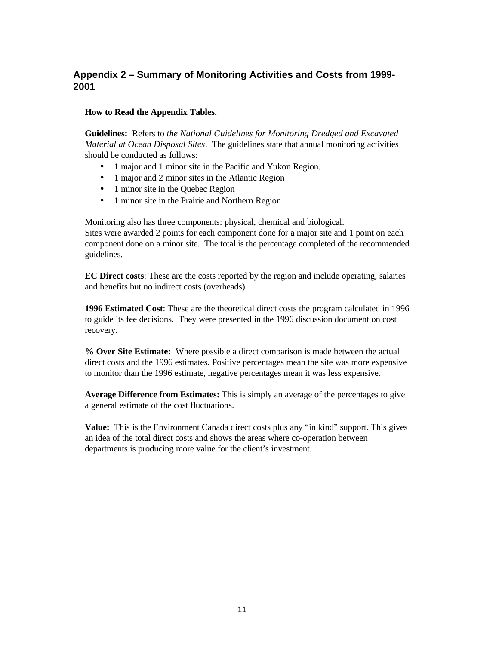# **Appendix 2 – Summary of Monitoring Activities and Costs from 1999- 2001**

#### **How to Read the Appendix Tables.**

**Guidelines:** Refers to *the National Guidelines for Monitoring Dredged and Excavated Material at Ocean Disposal Sites*. The guidelines state that annual monitoring activities should be conducted as follows:

- 1 major and 1 minor site in the Pacific and Yukon Region.
- 1 major and 2 minor sites in the Atlantic Region
- 1 minor site in the Quebec Region
- 1 minor site in the Prairie and Northern Region

Monitoring also has three components: physical, chemical and biological. Sites were awarded 2 points for each component done for a major site and 1 point on each component done on a minor site. The total is the percentage completed of the recommended guidelines.

**EC Direct costs**: These are the costs reported by the region and include operating, salaries and benefits but no indirect costs (overheads).

**1996 Estimated Cost**: These are the theoretical direct costs the program calculated in 1996 to guide its fee decisions. They were presented in the 1996 discussion document on cost recovery.

**% Over Site Estimate:** Where possible a direct comparison is made between the actual direct costs and the 1996 estimates. Positive percentages mean the site was more expensive to monitor than the 1996 estimate, negative percentages mean it was less expensive.

**Average Difference from Estimates:** This is simply an average of the percentages to give a general estimate of the cost fluctuations.

**Value:** This is the Environment Canada direct costs plus any "in kind" support. This gives an idea of the total direct costs and shows the areas where co-operation between departments is producing more value for the client's investment.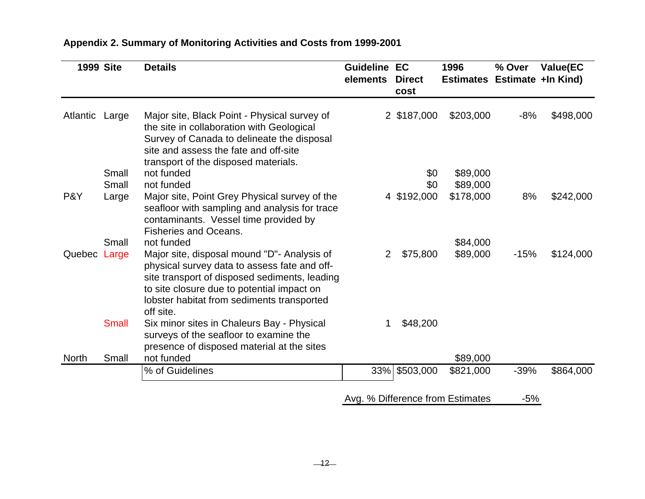|                | <b>1999 Site</b> | <b>Details</b>                                                                                                                                                                                                                                        | <b>Guideline</b><br>elements | EC<br><b>Direct</b><br>cost | 1996<br>Estimates Estimate +In Kind) | % Over | <b>Value(EC</b> |
|----------------|------------------|-------------------------------------------------------------------------------------------------------------------------------------------------------------------------------------------------------------------------------------------------------|------------------------------|-----------------------------|--------------------------------------|--------|-----------------|
| Atlantic Large |                  | Major site, Black Point - Physical survey of<br>the site in collaboration with Geological<br>Survey of Canada to delineate the disposal<br>site and assess the fate and off-site<br>transport of the disposed materials.                              |                              | 2 \$187,000                 | \$203,000                            | $-8%$  | \$498,000       |
|                | Small            | not funded                                                                                                                                                                                                                                            |                              | \$0                         | \$89,000                             |        |                 |
|                | Small            | not funded                                                                                                                                                                                                                                            |                              | \$0                         | \$89,000                             |        |                 |
| P&Y            | Large            | Major site, Point Grey Physical survey of the<br>seafloor with sampling and analysis for trace<br>contaminants. Vessel time provided by<br><b>Fisheries and Oceans.</b>                                                                               |                              | 4 \$192,000                 | \$178,000                            | 8%     | \$242,000       |
|                | Small            | not funded                                                                                                                                                                                                                                            |                              |                             | \$84,000                             |        |                 |
| Quebec Large   |                  | Major site, disposal mound "D"- Analysis of<br>physical survey data to assess fate and off-<br>site transport of disposed sediments, leading<br>to site closure due to potential impact on<br>lobster habitat from sediments transported<br>off site. | 2                            | \$75,800                    | \$89,000                             | $-15%$ | \$124,000       |
|                | <b>Small</b>     | Six minor sites in Chaleurs Bay - Physical<br>surveys of the seafloor to examine the<br>presence of disposed material at the sites                                                                                                                    |                              | \$48,200                    |                                      |        |                 |
| <b>North</b>   | Small            | not funded                                                                                                                                                                                                                                            |                              |                             | \$89,000                             |        |                 |
|                |                  | % of Guidelines                                                                                                                                                                                                                                       | 33%                          | \$503,000                   | \$821,000                            | $-39%$ | \$864,000       |

# **Appendix 2. Summary of Monitoring Activities and Costs from 1999-2001**

Avg. % Difference from Estimates -5%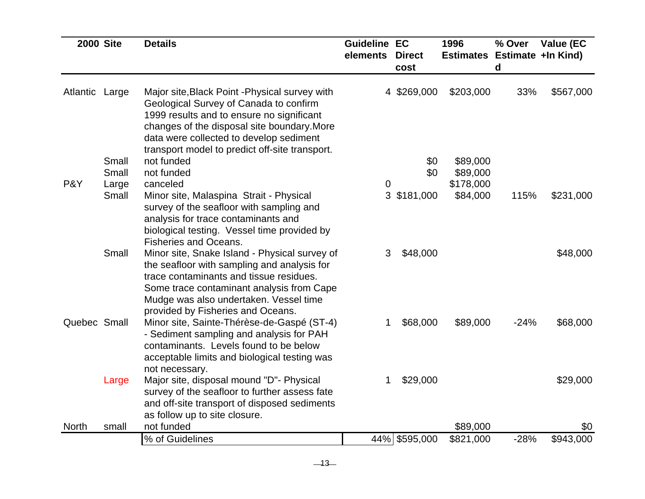| <b>2000 Site</b> |                | <b>Details</b>                                                                                                                                                                                                                                                                    | <b>Guideline EC</b><br>elements | <b>Direct</b> | 1996<br>Estimates Estimate +In Kind) | % Over | Value (EC |
|------------------|----------------|-----------------------------------------------------------------------------------------------------------------------------------------------------------------------------------------------------------------------------------------------------------------------------------|---------------------------------|---------------|--------------------------------------|--------|-----------|
|                  |                |                                                                                                                                                                                                                                                                                   |                                 | cost          |                                      | d      |           |
| Atlantic Large   |                | Major site, Black Point - Physical survey with<br>Geological Survey of Canada to confirm<br>1999 results and to ensure no significant<br>changes of the disposal site boundary. More<br>data were collected to develop sediment<br>transport model to predict off-site transport. |                                 | 4 \$269,000   | \$203,000                            | 33%    | \$567,000 |
|                  | Small          | not funded                                                                                                                                                                                                                                                                        |                                 | \$0           | \$89,000                             |        |           |
| P&Y              | Small<br>Large | not funded<br>canceled                                                                                                                                                                                                                                                            | $\mathbf 0$                     | \$0           | \$89,000<br>\$178,000                |        |           |
|                  | Small          | Minor site, Malaspina Strait - Physical<br>survey of the seafloor with sampling and<br>analysis for trace contaminants and<br>biological testing. Vessel time provided by<br><b>Fisheries and Oceans.</b>                                                                         |                                 | 3 \$181,000   | \$84,000                             | 115%   | \$231,000 |
|                  | Small          | Minor site, Snake Island - Physical survey of<br>the seafloor with sampling and analysis for<br>trace contaminants and tissue residues.<br>Some trace contaminant analysis from Cape<br>Mudge was also undertaken. Vessel time<br>provided by Fisheries and Oceans.               | 3                               | \$48,000      |                                      |        | \$48,000  |
| Quebec Small     |                | Minor site, Sainte-Thérèse-de-Gaspé (ST-4)<br>- Sediment sampling and analysis for PAH<br>contaminants. Levels found to be below<br>acceptable limits and biological testing was<br>not necessary.                                                                                | 1                               | \$68,000      | \$89,000                             | $-24%$ | \$68,000  |
|                  | Large          | Major site, disposal mound "D"- Physical<br>survey of the seafloor to further assess fate<br>and off-site transport of disposed sediments<br>as follow up to site closure.                                                                                                        |                                 | \$29,000      |                                      |        | \$29,000  |
| <b>North</b>     | small          | not funded                                                                                                                                                                                                                                                                        |                                 |               | \$89,000                             |        | \$0       |
|                  |                | % of Guidelines                                                                                                                                                                                                                                                                   |                                 | 44% \$595,000 | \$821,000                            | $-28%$ | \$943,000 |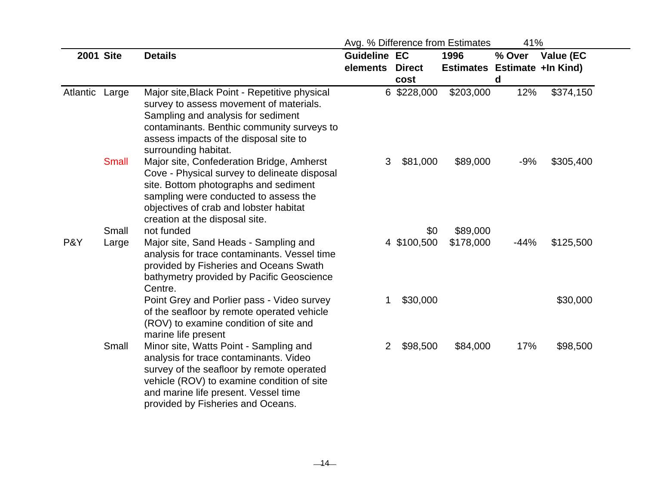|                |                  |                                                                                                                                                                                                                                                          |                                 |                       | Avg. % Difference from Estimates     | 41%         |           |
|----------------|------------------|----------------------------------------------------------------------------------------------------------------------------------------------------------------------------------------------------------------------------------------------------------|---------------------------------|-----------------------|--------------------------------------|-------------|-----------|
|                | <b>2001 Site</b> | <b>Details</b>                                                                                                                                                                                                                                           | <b>Guideline EC</b><br>elements | <b>Direct</b><br>cost | 1996<br>Estimates Estimate +In Kind) | % Over<br>d | Value (EC |
| Atlantic Large |                  | Major site, Black Point - Repetitive physical<br>survey to assess movement of materials.<br>Sampling and analysis for sediment<br>contaminants. Benthic community surveys to<br>assess impacts of the disposal site to<br>surrounding habitat.           |                                 | 6 \$228,000           | \$203,000                            | 12%         | \$374,150 |
|                | <b>Small</b>     | Major site, Confederation Bridge, Amherst<br>Cove - Physical survey to delineate disposal<br>site. Bottom photographs and sediment<br>sampling were conducted to assess the<br>objectives of crab and lobster habitat<br>creation at the disposal site.  | 3                               | \$81,000              | \$89,000                             | $-9%$       | \$305,400 |
|                | Small            | not funded                                                                                                                                                                                                                                               |                                 |                       | \$0<br>\$89,000                      |             |           |
| P&Y            | Large            | Major site, Sand Heads - Sampling and<br>analysis for trace contaminants. Vessel time<br>provided by Fisheries and Oceans Swath<br>bathymetry provided by Pacific Geoscience<br>Centre.                                                                  |                                 | 4 \$100,500           | \$178,000                            | $-44%$      | \$125,500 |
|                |                  | Point Grey and Porlier pass - Video survey<br>of the seafloor by remote operated vehicle<br>(ROV) to examine condition of site and<br>marine life present                                                                                                | 1                               | \$30,000              |                                      |             | \$30,000  |
|                | Small            | Minor site, Watts Point - Sampling and<br>analysis for trace contaminants. Video<br>survey of the seafloor by remote operated<br>vehicle (ROV) to examine condition of site<br>and marine life present. Vessel time<br>provided by Fisheries and Oceans. | $\mathbf{2}$                    | \$98,500              | \$84,000                             | 17%         | \$98,500  |